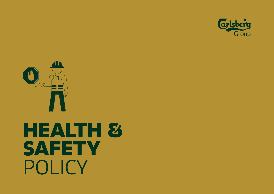



# **HEALTH & SAFETY** POLICY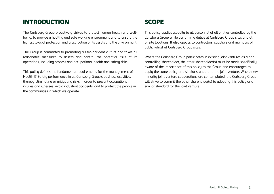## INTRODUCTION

The Carlsberg Group proactively strives to protect human health and wellbeing, to provide a healthy and safe working environment and to ensure the highest level of protection and preservation of its assets and the environment.

The Group is committed to promoting a zero-accident culture and takes all reasonable measures to assess and control the potential risks of its operations, including process and occupational health and safety risks.

This policy defines the fundamental requirements for the management of Health & Safety performance in all Carlsberg Group's business activities, thereby eliminating or mitigating risks in order to prevent occupational injuries and illnesses, avoid industrial accidents, and to protect the people in the communities in which we operate.

## SCOPE

This policy applies globally to all personnel of all entities controlled by the Carlsberg Group while performing duties at Carlsberg Group sites and at offsite locations. It also applies to contractors, suppliers and members of public whilst at Carlsberg Group sites.

Where the Carlsberg Group participates in existing joint ventures as a noncontrolling shareholder, the other shareholder(s) must be made specifically aware of the importance of this policy to the Group and encouraged to apply the same policy or a similar standard to the joint venture. Where new minority joint-venture cooperations are contemplated, the Carlsberg Group will strive to commit the other shareholder(s) to adopting this policy or a similar standard for the joint venture.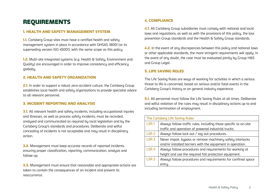## **REQUIREMENTS**

## 1. HEALTH AND SAFETY MANAGEMENT SYSTEM

**1.1.** Carlsberg Group sites must have a certified health and safety management system in place in accordance with OHSAS 18001 (or its superseding version ISO 45001), with the same scope as this policy.

1.2. Multi-site integrated systems (e.g. Health & Safety, Environment and Quality) are encouraged in order to improve consistency and efficiency globally.

### 2. HEALTH AND SAFETY ORGANIZATION

2.1. In order to support a robust zero-accident culture, the Carlsberg Group establishes local health and safety organizations to provide specialist advice to all relevant personnel.

### 3. INCIDENT REPORTING AND ANALYSIS

**3.1.** All relevant health and safety incidents, including occupational injuries and illnesses, as well as process safety incidents, must be recorded, analysed and communicated as required by local legislation and by the Carlsberg Group's standards and procedures. Deliberate and wilful concealing of incidents is not acceptable and may result in disciplinary action.

**3.2.** Management must keep accurate records of reported incidents, ensuring proper classification, reporting, communication, analysis and follow-up.

**3.3.** Management must ensure that reasonable and appropriate actions are taken to contain the consequences of an incident and prevent its reoccurrence.

## 4. COMPLIANCE

4.1. All Carlsberg Group subsidiaries must comply with national and local laws and regulations, as well as with the provisions of this policy, the loss prevention Group standards and the Health & Safety Group standards.

4.2. In the event of any discrepancies between this policy and national laws or other applicable standards, the more stringent requirements will apply. In the event of any doubt, the case must be evaluated jointly by Group H&S and Group Legal.

### 5. LIFE SAVING RULES

The Life Saving Rules are ways of working for activities in which a serious threat to life is concerned, based on serious and/or fatal events in the Carlsberg Group's history or on general industry experience.

**5.1.** All personnel must follow the Life Saving Rules at all times. Deliberate and wilful violation of the rules may result in disciplinary actions up to and including termination of employment.

| <b>The Carlsberg Life Saving Rules</b> |                                                                  |
|----------------------------------------|------------------------------------------------------------------|
| LSR <sub>1</sub>                       | Always follow traffic rules, including those specific to on-site |
|                                        | traffic and operation of powered industrial trucks.              |
| LSR <sub>2</sub>                       | Always follow lock out / tag out procedures.                     |
| LSR <sub>3</sub>                       | Never impair, bypass or remove machinery safety interlocks       |
|                                        | and/or installed barriers with the equipment in operation.       |
| LSR <sub>4</sub>                       | Always follow procedures and requirements for working at         |
|                                        | height and use the required fall protection equipment.           |
| LSR <sub>5</sub>                       | Always follow procedures and requirements for confined space     |
|                                        | entru.                                                           |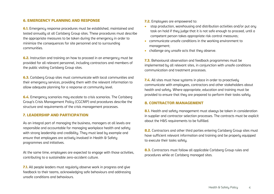#### 6. EMERGENCY PLANNING AND RESPONSE

6.1. Emergency response procedures must be established, maintained and tested annually at all Carlsberg Group sites. These procedures must describe the appropriate measures to be taken during the emergency in order to minimize the consequences for site personnel and to surrounding communities.

6.2. Instruction and training on how to proceed in an emergency must be provided for all relevant personnel, including contractors and members of the public visiting Carlsberg Group sites.

**6.3.** Carlsberg Group sites must communicate with local communities and their emergency services, providing them with the relevant information to allow adequate planning for a response at community level.

6.4. Emergency scenarios may escalate to crisis scenarios. The Carlsberg Group's Crisis Management Policy (CGCMP) and procedures describe the structure and requirements of the crisis management processes.

#### 7. LEADERSHIP AND PARTICIPATION

As an integral part of managing the business, managers at all levels are responsible and accountable for managing workplace health and safety with strong leadership and credibility. They must lead by example and ensure that employees are actively involved in Health & Safety programmes and initiatives.

At the same time, employees are expected to engage with those activities, contributing to a sustainable zero-accident culture.

**7.1.** All people leaders must regularly observe work in progress and give feedback to their teams, acknowledging safe behaviours and addressing unsafe conditions and behaviours.

7.2. Employees are empowered to:

- stop production, warehousing and distribution activities and/or put any task on hold if they judge that it is not safe enough to proceed, until a competent person takes appropriate risk control measures;
- communicate unsafe conditions in the working environment to management;
- challenge any unsafe acts that they observe.

7.3. Behavioural observation and feedback programmes must be implemented by all relevant sites, in conjunction with unsafe conditions communication and treatment processes.

7.4. All sites must have systems in place in order to proactively communicate with employees, contractors and other stakeholders about health and safety. Where appropriate, education and training must be provided to ensure that they are prepared to perform their tasks safely.

#### 8. CONTRACTOR MANAGEMENT

8.1. Health and safety management must always be taken in consideration in supplier and contractor selection processes. The contracts must be explicit about the H&S requirements to be fulfilled.

8.2. Contractors and other third parties entering Carlsberg Group sites must have sufficient relevant information and training and be properly equipped to execute their tasks safely.

8.3. Contractors must follow all applicable Carlsberg Group rules and procedures while at Carlsberg managed sites.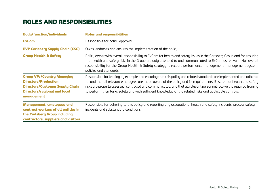## ROLES AND RESPONSIBILITIES

| <b>Body/function/individuals</b>                                                                                                                                | <b>Roles and responsibilities</b>                                                                                                                                                                                                                                                                                                                                                                                                                                                  |  |
|-----------------------------------------------------------------------------------------------------------------------------------------------------------------|------------------------------------------------------------------------------------------------------------------------------------------------------------------------------------------------------------------------------------------------------------------------------------------------------------------------------------------------------------------------------------------------------------------------------------------------------------------------------------|--|
| <b>ExCom</b>                                                                                                                                                    | Responsible for policy approval.                                                                                                                                                                                                                                                                                                                                                                                                                                                   |  |
| <b>EVP Carlsberg Supply Chain (CSC)</b>                                                                                                                         | Owns, endorses and ensures the implementation of the policy.                                                                                                                                                                                                                                                                                                                                                                                                                       |  |
| <b>Group Health &amp; Safety</b>                                                                                                                                | Policy owner with overall responsibility to ExCom for health and safety issues in the Carlsberg Group and for ensuring<br>that health and safety risks in the Group are duly attended to and communicated to ExCom as relevant. Has overall<br>responsibility for the Group Health & Safety strategy, direction, performance management, management system,<br>policies and standards.                                                                                             |  |
| <b>Group VPs/Country Managing</b><br><b>Directors/Production</b><br><b>Directors/Customer Supply Chain</b><br><b>Directors/regional and local</b><br>management | Responsible for leading by example and ensuring that this policy and related standards are implemented and adhered<br>to, and that all relevant employees are made aware of the policy and its requirements. Ensure that health and safety<br>risks are properly assessed, controlled and communicated, and that all relevant personnel receive the required training<br>to perform their tasks safely and with sufficient knowledge of the related risks and applicable controls. |  |
| <b>Management, employees and</b><br>contract workers of all entities in<br>the Carlsberg Group including<br>contractors, suppliers and visitors                 | Responsible for adhering to this policy and reporting any occupational health and safety incidents, process safety<br>incidents and substandard conditions.                                                                                                                                                                                                                                                                                                                        |  |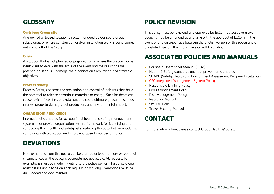## **GLOSSARY**

#### Carlsberg Group site

Any owned or leased location directly managed by Carlsberg Group subsidiaries, or where construction and/or installation work is being carried out on behalf of the Group.

#### Crisis

A situation that is not planned or prepared for or where the preparation is insufficient to deal with the scale of the event and the result has the potential to seriously damage the organisation's reputation and strategic objectives.

#### **Process safetu**

Process Safety concerns the prevention and control of incidents that have the potential to release hazardous materials or energy. Such incidents can cause toxic effects, fire, or explosion, and could ultimately result in serious injuries, property damage, lost production, and environmental impact.

### OHSAS 18001 / ISO 45001

International standards for occupational health and safety management systems that provide organisations with a framework for identifying and controlling their health and safety risks, reducing the potential for accidents, complying with legislation and improving operational performance.

## DEVIATIONS

No exemptions from this policy can be granted unless there are exceptional circumstances or the policy is obviously not applicable. All requests for exemptions must be made in writing to the policy owner. The policy owner must assess and decide on each request individually. Exemptions must be duly logged and documented.

## POLICY REVISION

This policu must be reviewed and approved by ExCom at least every two years. It may be amended at any time with the approval of ExCom. In the event of any discrepancies between the English version of this policy and a translated version, the English version will be binding.

## ASSOCIATED POLICIES AND MANUALS

- Carlsberg Operational Manual (COM)
- Health & Safety standards and loss prevention standards
- SHAPE (Safety, Health and Environment Assessment Program Excellence)
- CSC Integrated Management System Policy
- Responsible Drinking Policy
- **•** Crisis Management Policy
- Risk Management Policy
- Insurance Manual
- Security Policy
- Travel Security Manual

## CONTACT

For more information, please contact Group Health & Safety.